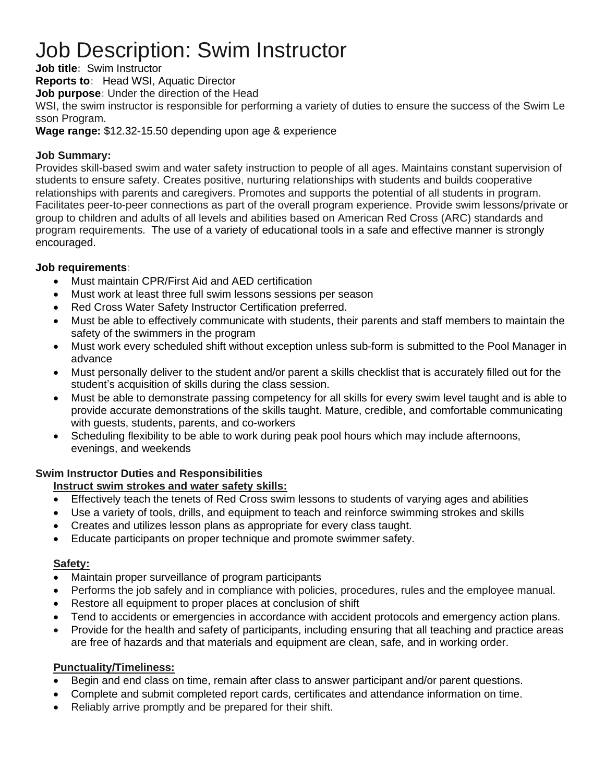# Job Description: Swim Instructor

**Job title:** Swim Instructor

**Reports to:** Head WSI, Aquatic Director

**Job purpose:** Under the direction of the Head

WSI, the swim instructor is responsible for performing a variety of duties to ensure the success of the Swim Le sson Program.

**Wage range:** \$12.32-15.50 depending upon age & experience

# **Job Summary:**

Provides skill-based swim and water safety instruction to people of all ages. Maintains constant supervision of students to ensure safety. Creates positive, nurturing relationships with students and builds cooperative relationships with parents and caregivers. Promotes and supports the potential of all students in program. Facilitates peer-to-peer connections as part of the overall program experience. Provide swim lessons/private or group to children and adults of all levels and abilities based on American Red Cross (ARC) standards and program requirements. The use of a variety of educational tools in a safe and effective manner is strongly encouraged.

# **Job requirements:**

- Must maintain CPR/First Aid and AED certification
- Must work at least three full swim lessons sessions per season
- Red Cross Water Safety Instructor Certification preferred.
- Must be able to effectively communicate with students, their parents and staff members to maintain the safety of the swimmers in the program
- Must work every scheduled shift without exception unless sub-form is submitted to the Pool Manager in advance
- Must personally deliver to the student and/or parent a skills checklist that is accurately filled out for the student's acquisition of skills during the class session.
- Must be able to demonstrate passing competency for all skills for every swim level taught and is able to provide accurate demonstrations of the skills taught. Mature, credible, and comfortable communicating with guests, students, parents, and co-workers
- Scheduling flexibility to be able to work during peak pool hours which may include afternoons, evenings, and weekends

# **Swim Instructor Duties and Responsibilities**

# **Instruct swim strokes and water safety skills:**

- Effectively teach the tenets of Red Cross swim lessons to students of varying ages and abilities
- Use a variety of tools, drills, and equipment to teach and reinforce swimming strokes and skills
- Creates and utilizes lesson plans as appropriate for every class taught.
- Educate participants on proper technique and promote swimmer safety.

# **Safety:**

- Maintain proper surveillance of program participants
- Performs the job safely and in compliance with policies, procedures, rules and the employee manual.
- Restore all equipment to proper places at conclusion of shift
- Tend to accidents or emergencies in accordance with accident protocols and emergency action plans.
- Provide for the health and safety of participants, including ensuring that all teaching and practice areas are free of hazards and that materials and equipment are clean, safe, and in working order.

# **Punctuality/Timeliness:**

- Begin and end class on time, remain after class to answer participant and/or parent questions.
- Complete and submit completed report cards, certificates and attendance information on time.
- Reliably arrive promptly and be prepared for their shift.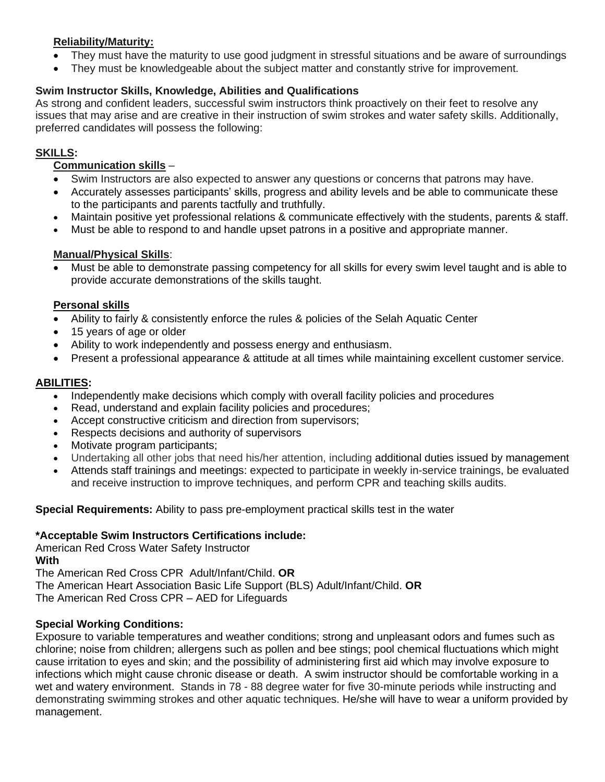#### **Reliability/Maturity:**

- They must have the maturity to use good judgment in stressful situations and be aware of surroundings
- They must be knowledgeable about the subject matter and constantly strive for improvement.

#### **Swim Instructor Skills, Knowledge, Abilities and Qualifications**

As strong and confident leaders, successful swim instructors think proactively on their feet to resolve any issues that may arise and are creative in their instruction of swim strokes and water safety skills. Additionally, preferred candidates will possess the following:

#### **SKILLS:**

#### **Communication skills** –

- Swim Instructors are also expected to answer any questions or concerns that patrons may have.
- Accurately assesses participants' skills, progress and ability levels and be able to communicate these to the participants and parents tactfully and truthfully.
- Maintain positive yet professional relations & communicate effectively with the students, parents & staff.
- Must be able to respond to and handle upset patrons in a positive and appropriate manner.

#### **Manual/Physical Skills**:

• Must be able to demonstrate passing competency for all skills for every swim level taught and is able to provide accurate demonstrations of the skills taught.

#### **Personal skills**

- Ability to fairly & consistently enforce the rules & policies of the Selah Aquatic Center
- 15 years of age or older
- Ability to work independently and possess energy and enthusiasm.
- Present a professional appearance & attitude at all times while maintaining excellent customer service.

# **ABILITIES:**

- Independently make decisions which comply with overall facility policies and procedures
- Read, understand and explain facility policies and procedures;
- Accept constructive criticism and direction from supervisors;
- Respects decisions and authority of supervisors
- Motivate program participants;
- Undertaking all other jobs that need his/her attention, including additional duties issued by management
- Attends staff trainings and meetings: expected to participate in weekly in-service trainings, be evaluated and receive instruction to improve techniques, and perform CPR and teaching skills audits.

**Special Requirements:** Ability to pass pre-employment practical skills test in the water

#### **\*Acceptable Swim Instructors Certifications include:**

American Red Cross Water Safety Instructor **With** The American Red Cross CPR Adult/Infant/Child. **OR** The American Heart Association Basic Life Support (BLS) Adult/Infant/Child. **OR** 

The American Red Cross CPR – AED for Lifeguards

# **Special Working Conditions:**

Exposure to variable temperatures and weather conditions; strong and unpleasant odors and fumes such as chlorine; noise from children; allergens such as pollen and bee stings; pool chemical fluctuations which might cause irritation to eyes and skin; and the possibility of administering first aid which may involve exposure to infections which might cause chronic disease or death. A swim instructor should be comfortable working in a wet and watery environment. Stands in 78 - 88 degree water for five 30-minute periods while instructing and demonstrating swimming strokes and other aquatic techniques. He/she will have to wear a uniform provided by management.